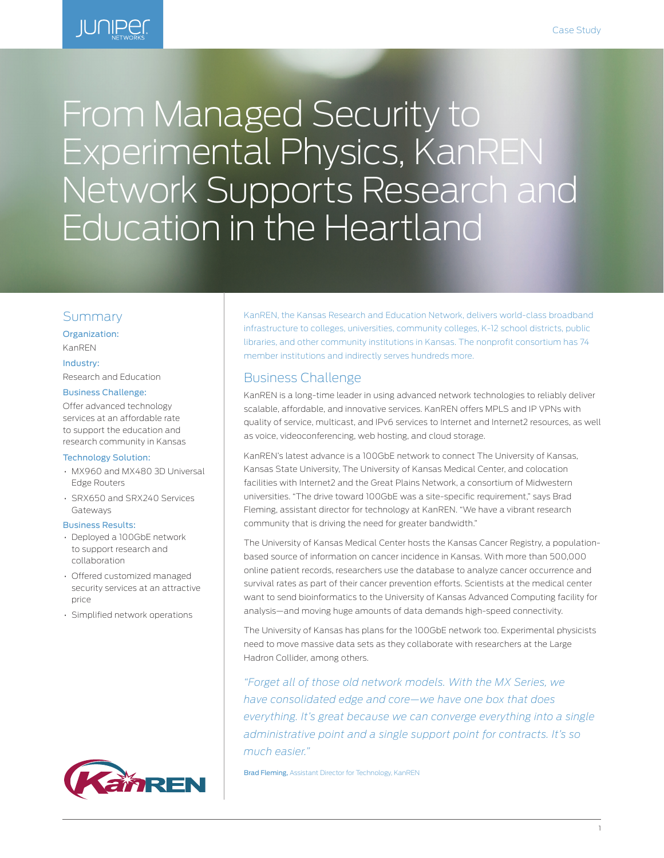

# From Managed Security to Experimental Physics, KanREN Network Supports Research and Education in the Heartland

### Summary

#### Organization: KanREN

#### Industry:

Research and Education

#### Business Challenge:

Offer advanced technology services at an affordable rate to support the education and research community in Kansas

#### Technology Solution:

- MX960 and MX480 3D Universal Edge Routers
- SRX650 and SRX240 Services Gateways

#### Business Results:

- Deployed a 100GbE network to support research and collaboration
- Offered customized managed security services at an attractive price
- Simplified network operations



KanREN, the Kansas Research and Education Network, delivers world-class broadband infrastructure to colleges, universities, community colleges, K-12 school districts, public libraries, and other community institutions in Kansas. The nonprofit consortium has 74 member institutions and indirectly serves hundreds more.

# Business Challenge

KanREN is a long-time leader in using advanced network technologies to reliably deliver scalable, affordable, and innovative services. KanREN offers MPLS and IP VPNs with quality of service, multicast, and IPv6 services to Internet and Internet2 resources, as well as voice, videoconferencing, web hosting, and cloud storage.

KanREN's latest advance is a 100GbE network to connect The University of Kansas, Kansas State University, The University of Kansas Medical Center, and colocation facilities with Internet2 and the Great Plains Network, a consortium of Midwestern universities. "The drive toward 100GbE was a site-specific requirement," says Brad Fleming, assistant director for technology at KanREN. "We have a vibrant research community that is driving the need for greater bandwidth."

The University of Kansas Medical Center hosts the Kansas Cancer Registry, a populationbased source of information on cancer incidence in Kansas. With more than 500,000 online patient records, researchers use the database to analyze cancer occurrence and survival rates as part of their cancer prevention efforts. Scientists at the medical center want to send bioinformatics to the University of Kansas Advanced Computing facility for analysis—and moving huge amounts of data demands high-speed connectivity.

The University of Kansas has plans for the 100GbE network too. Experimental physicists need to move massive data sets as they collaborate with researchers at the Large Hadron Collider, among others.

*"Forget all of those old network models. With the MX Series, we have consolidated edge and core—we have one box that does everything. It's great because we can converge everything into a single administrative point and a single support point for contracts. It's so much easier."*

Brad Fleming, Assistant Director for Technology, KanREN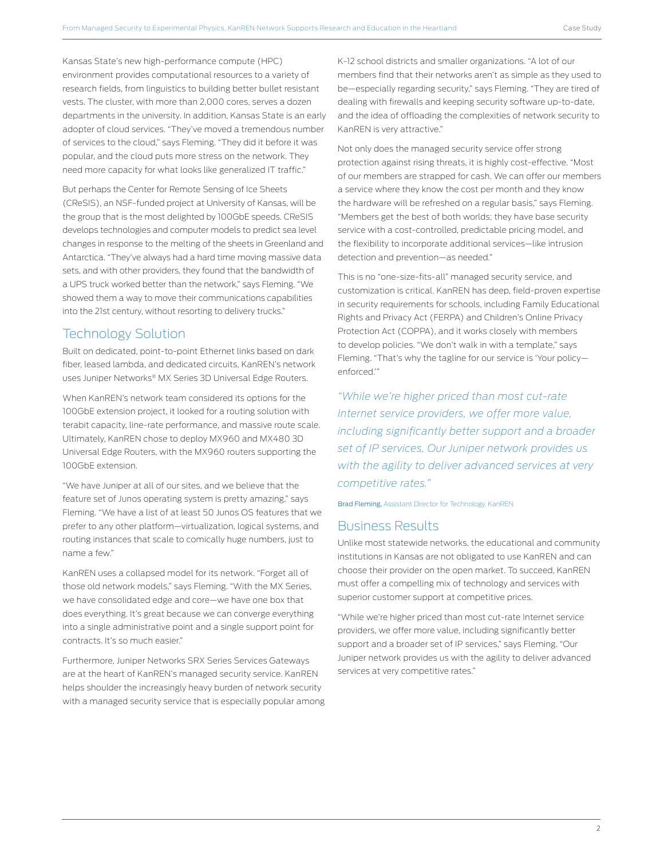Kansas State's new high-performance compute (HPC) environment provides computational resources to a variety of research fields, from linguistics to building better bullet resistant vests. The cluster, with more than 2,000 cores, serves a dozen departments in the university. In addition, Kansas State is an early adopter of cloud services. "They've moved a tremendous number of services to the cloud," says Fleming. "They did it before it was popular, and the cloud puts more stress on the network. They need more capacity for what looks like generalized IT traffic."

But perhaps the Center for Remote Sensing of Ice Sheets (CReSIS), an NSF-funded project at University of Kansas, will be the group that is the most delighted by 100GbE speeds. CReSIS develops technologies and computer models to predict sea level changes in response to the melting of the sheets in Greenland and Antarctica. "They've always had a hard time moving massive data sets, and with other providers, they found that the bandwidth of a UPS truck worked better than the network," says Fleming. "We showed them a way to move their communications capabilities into the 21st century, without resorting to delivery trucks."

# Technology Solution

Built on dedicated, point-to-point Ethernet links based on dark fiber, leased lambda, and dedicated circuits, KanREN's network uses Juniper Networks® MX Series 3D Universal Edge Routers.

When KanREN's network team considered its options for the 100GbE extension project, it looked for a routing solution with terabit capacity, line-rate performance, and massive route scale. Ultimately, KanREN chose to deploy MX960 and MX480 3D Universal Edge Routers, with the MX960 routers supporting the 100GbE extension.

"We have Juniper at all of our sites, and we believe that the feature set of Junos operating system is pretty amazing," says Fleming. "We have a list of at least 50 Junos OS features that we prefer to any other platform—virtualization, logical systems, and routing instances that scale to comically huge numbers, just to name a few."

KanREN uses a collapsed model for its network. "Forget all of those old network models," says Fleming. "With the MX Series, we have consolidated edge and core—we have one box that does everything. It's great because we can converge everything into a single administrative point and a single support point for contracts. It's so much easier."

Furthermore, Juniper Networks SRX Series Services Gateways are at the heart of KanREN's managed security service. KanREN helps shoulder the increasingly heavy burden of network security with a managed security service that is especially popular among

K-12 school districts and smaller organizations. "A lot of our members find that their networks aren't as simple as they used to be—especially regarding security," says Fleming. "They are tired of dealing with firewalls and keeping security software up-to-date, and the idea of offloading the complexities of network security to KanREN is very attractive."

Not only does the managed security service offer strong protection against rising threats, it is highly cost-effective. "Most of our members are strapped for cash. We can offer our members a service where they know the cost per month and they know the hardware will be refreshed on a regular basis," says Fleming. "Members get the best of both worlds; they have base security service with a cost-controlled, predictable pricing model, and the flexibility to incorporate additional services—like intrusion detection and prevention—as needed."

This is no "one-size-fits-all" managed security service, and customization is critical. KanREN has deep, field-proven expertise in security requirements for schools, including Family Educational Rights and Privacy Act (FERPA) and Children's Online Privacy Protection Act (COPPA), and it works closely with members to develop policies. "We don't walk in with a template," says Fleming. "That's why the tagline for our service is 'Your policy enforced.'"

*"While we're higher priced than most cut-rate Internet service providers, we offer more value, including significantly better support and a broader set of IP services, Our Juniper network provides us with the agility to deliver advanced services at very competitive rates."*

Brad Fleming, Assistant Director for Technology, KanREN

# Business Results

Unlike most statewide networks, the educational and community institutions in Kansas are not obligated to use KanREN and can choose their provider on the open market. To succeed, KanREN must offer a compelling mix of technology and services with superior customer support at competitive prices.

"While we're higher priced than most cut-rate Internet service providers, we offer more value, including significantly better support and a broader set of IP services," says Fleming. "Our Juniper network provides us with the agility to deliver advanced services at very competitive rates."